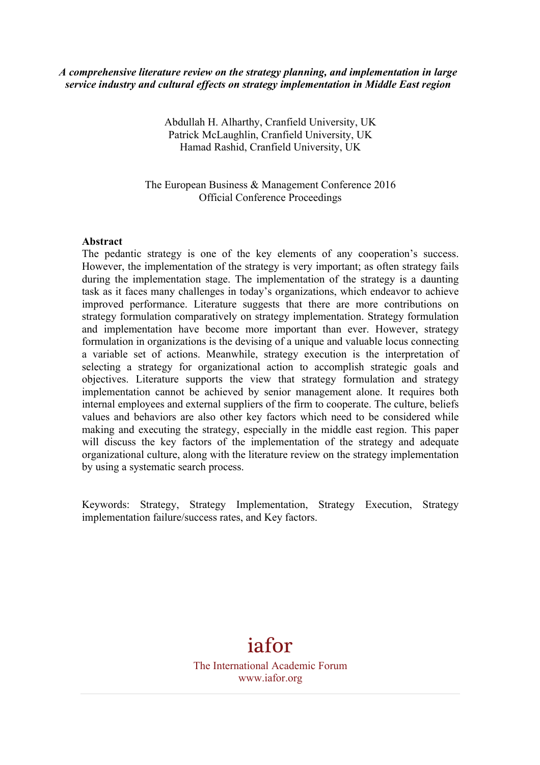### *A comprehensive literature review on the strategy planning, and implementation in large service industry and cultural effects on strategy implementation in Middle East region*

Abdullah H. Alharthy, Cranfield University, UK Patrick McLaughlin, Cranfield University, UK Hamad Rashid, Cranfield University, UK

The European Business & Management Conference 2016 Official Conference Proceedings

#### **Abstract**

The pedantic strategy is one of the key elements of any cooperation's success. However, the implementation of the strategy is very important; as often strategy fails during the implementation stage. The implementation of the strategy is a daunting task as it faces many challenges in today's organizations, which endeavor to achieve improved performance. Literature suggests that there are more contributions on strategy formulation comparatively on strategy implementation. Strategy formulation and implementation have become more important than ever. However, strategy formulation in organizations is the devising of a unique and valuable locus connecting a variable set of actions. Meanwhile, strategy execution is the interpretation of selecting a strategy for organizational action to accomplish strategic goals and objectives. Literature supports the view that strategy formulation and strategy implementation cannot be achieved by senior management alone. It requires both internal employees and external suppliers of the firm to cooperate. The culture, beliefs values and behaviors are also other key factors which need to be considered while making and executing the strategy, especially in the middle east region. This paper will discuss the key factors of the implementation of the strategy and adequate organizational culture, along with the literature review on the strategy implementation by using a systematic search process.

Keywords: Strategy, Strategy Implementation, Strategy Execution, Strategy implementation failure/success rates, and Key factors.

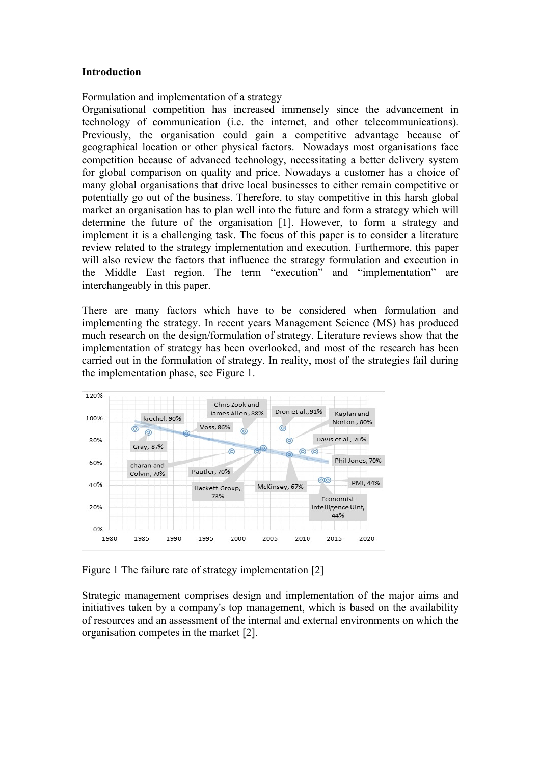#### **Introduction**

Formulation and implementation of a strategy

Organisational competition has increased immensely since the advancement in technology of communication (i.e. the internet, and other telecommunications). Previously, the organisation could gain a competitive advantage because of geographical location or other physical factors. Nowadays most organisations face competition because of advanced technology, necessitating a better delivery system for global comparison on quality and price. Nowadays a customer has a choice of many global organisations that drive local businesses to either remain competitive or potentially go out of the business. Therefore, to stay competitive in this harsh global market an organisation has to plan well into the future and form a strategy which will determine the future of the organisation [1]. However, to form a strategy and implement it is a challenging task. The focus of this paper is to consider a literature review related to the strategy implementation and execution. Furthermore, this paper will also review the factors that influence the strategy formulation and execution in the Middle East region. The term "execution" and "implementation" are interchangeably in this paper.

There are many factors which have to be considered when formulation and implementing the strategy. In recent years Management Science (MS) has produced much research on the design/formulation of strategy. Literature reviews show that the implementation of strategy has been overlooked, and most of the research has been carried out in the formulation of strategy. In reality, most of the strategies fail during the implementation phase, see Figure 1.



Figure 1 The failure rate of strategy implementation [2]

Strategic management comprises design and implementation of the major aims and initiatives taken by a company's top management, which is based on the availability of resources and an assessment of the internal and external environments on which the organisation competes in the market [2].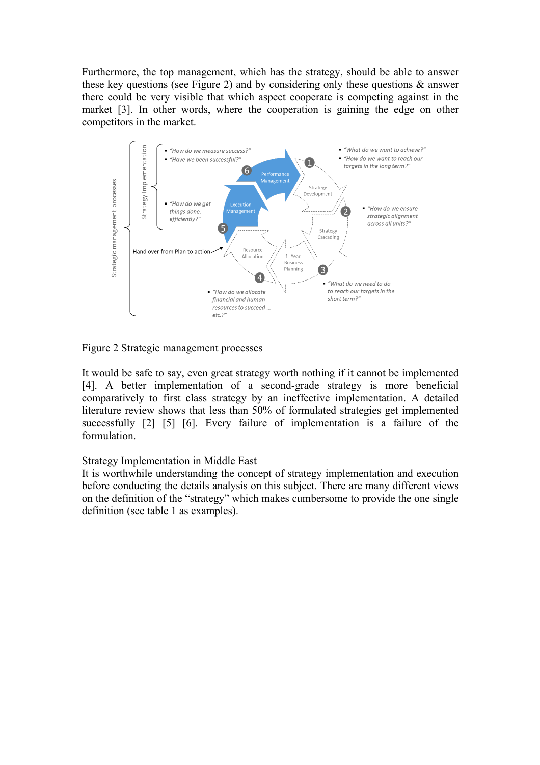Furthermore, the top management, which has the strategy, should be able to answer these key questions (see Figure 2) and by considering only these questions  $\&$  answer there could be very visible that which aspect cooperate is competing against in the market [3]. In other words, where the cooperation is gaining the edge on other competitors in the market.



Figure 2 Strategic management processes

It would be safe to say, even great strategy worth nothing if it cannot be implemented [4]. A better implementation of a second-grade strategy is more beneficial comparatively to first class strategy by an ineffective implementation. A detailed literature review shows that less than 50% of formulated strategies get implemented successfully [2] [5] [6]. Every failure of implementation is a failure of the formulation.

# Strategy Implementation in Middle East

It is worthwhile understanding the concept of strategy implementation and execution before conducting the details analysis on this subject. There are many different views on the definition of the "strategy" which makes cumbersome to provide the one single definition (see table 1 as examples).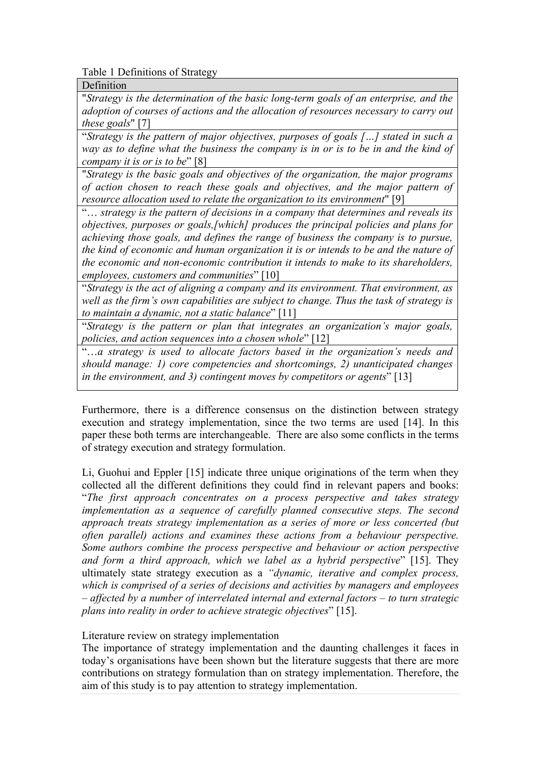Table 1 Definitions of Strategy

Definition

"*Strategy is the determination of the basic long-term goals of an enterprise, and the adoption of courses of actions and the allocation of resources necessary to carry out these goals*" [7]

"*Strategy is the pattern of major objectives, purposes of goals […] stated in such a way as to define what the business the company is in or is to be in and the kind of company it is or is to be*" [8]

"*Strategy is the basic goals and objectives of the organization, the major programs of action chosen to reach these goals and objectives, and the major pattern of resource allocation used to relate the organization to its environment*" [9]

"… *strategy is the pattern of decisions in a company that determines and reveals its objectives, purposes or goals,[which] produces the principal policies and plans for achieving those goals, and defines the range of business the company is to pursue, the kind of economic and human organization it is or intends to be and the nature of the economic and non-economic contribution it intends to make to its shareholders, employees, customers and communities*" [10]

"*Strategy is the act of aligning a company and its environment. That environment, as well as the firm's own capabilities are subject to change. Thus the task of strategy is to maintain a dynamic, not a static balance*" [11]

"*Strategy is the pattern or plan that integrates an organization's major goals, policies, and action sequences into a chosen whole*" [12]

"…*a strategy is used to allocate factors based in the organization's needs and should manage: 1) core competencies and shortcomings, 2) unanticipated changes in the environment, and 3) contingent moves by competitors or agents*" [13]

Furthermore, there is a difference consensus on the distinction between strategy execution and strategy implementation, since the two terms are used [14]. In this paper these both terms are interchangeable. There are also some conflicts in the terms of strategy execution and strategy formulation.

Li, Guohui and Eppler [15] indicate three unique originations of the term when they collected all the different definitions they could find in relevant papers and books: "*The first approach concentrates on a process perspective and takes strategy implementation as a sequence of carefully planned consecutive steps. The second approach treats strategy implementation as a series of more or less concerted (but often parallel) actions and examines these actions from a behaviour perspective. Some authors combine the process perspective and behaviour or action perspective and form a third approach, which we label as a hybrid perspective*" [15]. They ultimately state strategy execution as a *"dynamic, iterative and complex process, which is comprised of a series of decisions and activities by managers and employees – affected by a number of interrelated internal and external factors – to turn strategic plans into reality in order to achieve strategic objectives*" [15].

Literature review on strategy implementation

The importance of strategy implementation and the daunting challenges it faces in today's organisations have been shown but the literature suggests that there are more contributions on strategy formulation than on strategy implementation. Therefore, the aim of this study is to pay attention to strategy implementation.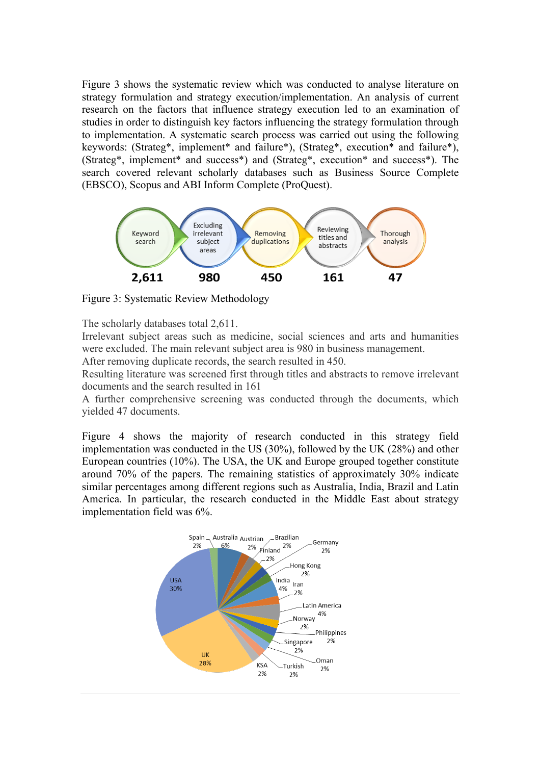Figure 3 shows the systematic review which was conducted to analyse literature on strategy formulation and strategy execution/implementation. An analysis of current research on the factors that influence strategy execution led to an examination of studies in order to distinguish key factors influencing the strategy formulation through to implementation. A systematic search process was carried out using the following keywords: (Strateg\*, implement\* and failure\*), (Strateg\*, execution\* and failure\*), (Strateg\*, implement\* and success\*) and (Strateg\*, execution\* and success\*). The search covered relevant scholarly databases such as Business Source Complete (EBSCO), Scopus and ABI Inform Complete (ProQuest).



Figure 3: Systematic Review Methodology

The scholarly databases total 2,611.

Irrelevant subject areas such as medicine, social sciences and arts and humanities were excluded. The main relevant subject area is 980 in business management.

After removing duplicate records, the search resulted in 450.

Resulting literature was screened first through titles and abstracts to remove irrelevant documents and the search resulted in 161

A further comprehensive screening was conducted through the documents, which yielded 47 documents.

Figure 4 shows the majority of research conducted in this strategy field implementation was conducted in the US (30%), followed by the UK (28%) and other European countries (10%). The USA, the UK and Europe grouped together constitute around 70% of the papers. The remaining statistics of approximately 30% indicate similar percentages among different regions such as Australia, India, Brazil and Latin America. In particular, the research conducted in the Middle East about strategy implementation field was 6%.

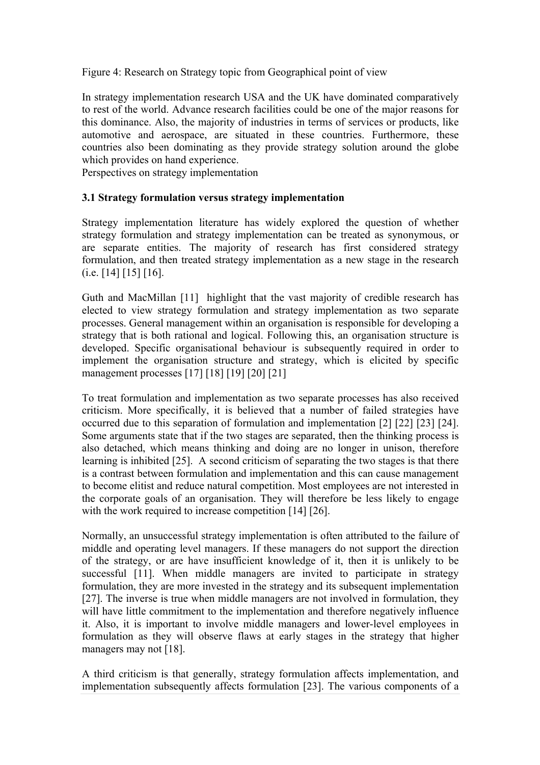Figure 4: Research on Strategy topic from Geographical point of view

In strategy implementation research USA and the UK have dominated comparatively to rest of the world. Advance research facilities could be one of the major reasons for this dominance. Also, the majority of industries in terms of services or products, like automotive and aerospace, are situated in these countries. Furthermore, these countries also been dominating as they provide strategy solution around the globe which provides on hand experience.

Perspectives on strategy implementation

# **3.1 Strategy formulation versus strategy implementation**

Strategy implementation literature has widely explored the question of whether strategy formulation and strategy implementation can be treated as synonymous, or are separate entities. The majority of research has first considered strategy formulation, and then treated strategy implementation as a new stage in the research (i.e. [14] [15] [16].

Guth and MacMillan [11] highlight that the vast majority of credible research has elected to view strategy formulation and strategy implementation as two separate processes. General management within an organisation is responsible for developing a strategy that is both rational and logical. Following this, an organisation structure is developed. Specific organisational behaviour is subsequently required in order to implement the organisation structure and strategy, which is elicited by specific management processes [17] [18] [19] [20] [21]

To treat formulation and implementation as two separate processes has also received criticism. More specifically, it is believed that a number of failed strategies have occurred due to this separation of formulation and implementation [2] [22] [23] [24]. Some arguments state that if the two stages are separated, then the thinking process is also detached, which means thinking and doing are no longer in unison, therefore learning is inhibited [25]. A second criticism of separating the two stages is that there is a contrast between formulation and implementation and this can cause management to become elitist and reduce natural competition. Most employees are not interested in the corporate goals of an organisation. They will therefore be less likely to engage with the work required to increase competition [14] [26].

Normally, an unsuccessful strategy implementation is often attributed to the failure of middle and operating level managers. If these managers do not support the direction of the strategy, or are have insufficient knowledge of it, then it is unlikely to be successful [11]. When middle managers are invited to participate in strategy formulation, they are more invested in the strategy and its subsequent implementation [27]. The inverse is true when middle managers are not involved in formulation, they will have little commitment to the implementation and therefore negatively influence it. Also, it is important to involve middle managers and lower-level employees in formulation as they will observe flaws at early stages in the strategy that higher managers may not [18].

A third criticism is that generally, strategy formulation affects implementation, and implementation subsequently affects formulation [23]. The various components of a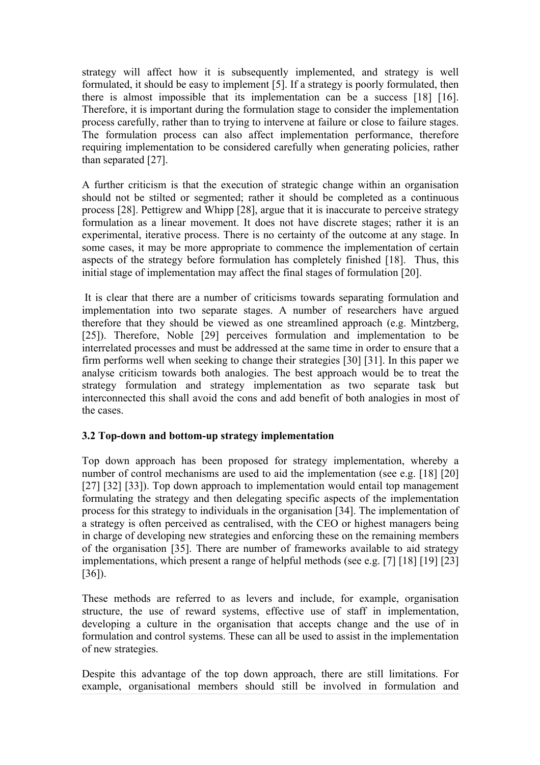strategy will affect how it is subsequently implemented, and strategy is well formulated, it should be easy to implement [5]. If a strategy is poorly formulated, then there is almost impossible that its implementation can be a success [18] [16]. Therefore, it is important during the formulation stage to consider the implementation process carefully, rather than to trying to intervene at failure or close to failure stages. The formulation process can also affect implementation performance, therefore requiring implementation to be considered carefully when generating policies, rather than separated [27].

A further criticism is that the execution of strategic change within an organisation should not be stilted or segmented; rather it should be completed as a continuous process [28]. Pettigrew and Whipp [28], argue that it is inaccurate to perceive strategy formulation as a linear movement. It does not have discrete stages; rather it is an experimental, iterative process. There is no certainty of the outcome at any stage. In some cases, it may be more appropriate to commence the implementation of certain aspects of the strategy before formulation has completely finished [18]. Thus, this initial stage of implementation may affect the final stages of formulation [20].

It is clear that there are a number of criticisms towards separating formulation and implementation into two separate stages. A number of researchers have argued therefore that they should be viewed as one streamlined approach (e.g. Mintzberg, [25]). Therefore, Noble [29] perceives formulation and implementation to be interrelated processes and must be addressed at the same time in order to ensure that a firm performs well when seeking to change their strategies [30] [31]. In this paper we analyse criticism towards both analogies. The best approach would be to treat the strategy formulation and strategy implementation as two separate task but interconnected this shall avoid the cons and add benefit of both analogies in most of the cases.

# **3.2 Top-down and bottom-up strategy implementation**

Top down approach has been proposed for strategy implementation, whereby a number of control mechanisms are used to aid the implementation (see e.g. [18] [20] [27] [32] [33]). Top down approach to implementation would entail top management formulating the strategy and then delegating specific aspects of the implementation process for this strategy to individuals in the organisation [34]. The implementation of a strategy is often perceived as centralised, with the CEO or highest managers being in charge of developing new strategies and enforcing these on the remaining members of the organisation [35]. There are number of frameworks available to aid strategy implementations, which present a range of helpful methods (see e.g. [7] [18] [19] [23] [36]).

These methods are referred to as levers and include, for example, organisation structure, the use of reward systems, effective use of staff in implementation, developing a culture in the organisation that accepts change and the use of in formulation and control systems. These can all be used to assist in the implementation of new strategies.

Despite this advantage of the top down approach, there are still limitations. For example, organisational members should still be involved in formulation and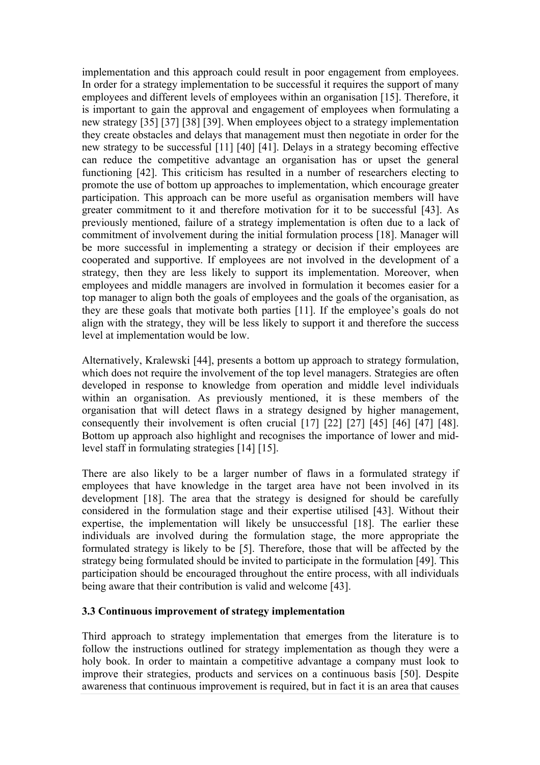implementation and this approach could result in poor engagement from employees. In order for a strategy implementation to be successful it requires the support of many employees and different levels of employees within an organisation [15]. Therefore, it is important to gain the approval and engagement of employees when formulating a new strategy [35] [37] [38] [39]. When employees object to a strategy implementation they create obstacles and delays that management must then negotiate in order for the new strategy to be successful [11] [40] [41]. Delays in a strategy becoming effective can reduce the competitive advantage an organisation has or upset the general functioning [42]. This criticism has resulted in a number of researchers electing to promote the use of bottom up approaches to implementation, which encourage greater participation. This approach can be more useful as organisation members will have greater commitment to it and therefore motivation for it to be successful [43]. As previously mentioned, failure of a strategy implementation is often due to a lack of commitment of involvement during the initial formulation process [18]. Manager will be more successful in implementing a strategy or decision if their employees are cooperated and supportive. If employees are not involved in the development of a strategy, then they are less likely to support its implementation. Moreover, when employees and middle managers are involved in formulation it becomes easier for a top manager to align both the goals of employees and the goals of the organisation, as they are these goals that motivate both parties [11]. If the employee's goals do not align with the strategy, they will be less likely to support it and therefore the success level at implementation would be low.

Alternatively, Kralewski [44], presents a bottom up approach to strategy formulation, which does not require the involvement of the top level managers. Strategies are often developed in response to knowledge from operation and middle level individuals within an organisation. As previously mentioned, it is these members of the organisation that will detect flaws in a strategy designed by higher management, consequently their involvement is often crucial [17] [22] [27] [45] [46] [47] [48]. Bottom up approach also highlight and recognises the importance of lower and midlevel staff in formulating strategies [14] [15].

There are also likely to be a larger number of flaws in a formulated strategy if employees that have knowledge in the target area have not been involved in its development [18]. The area that the strategy is designed for should be carefully considered in the formulation stage and their expertise utilised [43]. Without their expertise, the implementation will likely be unsuccessful [18]. The earlier these individuals are involved during the formulation stage, the more appropriate the formulated strategy is likely to be [5]. Therefore, those that will be affected by the strategy being formulated should be invited to participate in the formulation [49]. This participation should be encouraged throughout the entire process, with all individuals being aware that their contribution is valid and welcome [43].

#### **3.3 Continuous improvement of strategy implementation**

Third approach to strategy implementation that emerges from the literature is to follow the instructions outlined for strategy implementation as though they were a holy book. In order to maintain a competitive advantage a company must look to improve their strategies, products and services on a continuous basis [50]. Despite awareness that continuous improvement is required, but in fact it is an area that causes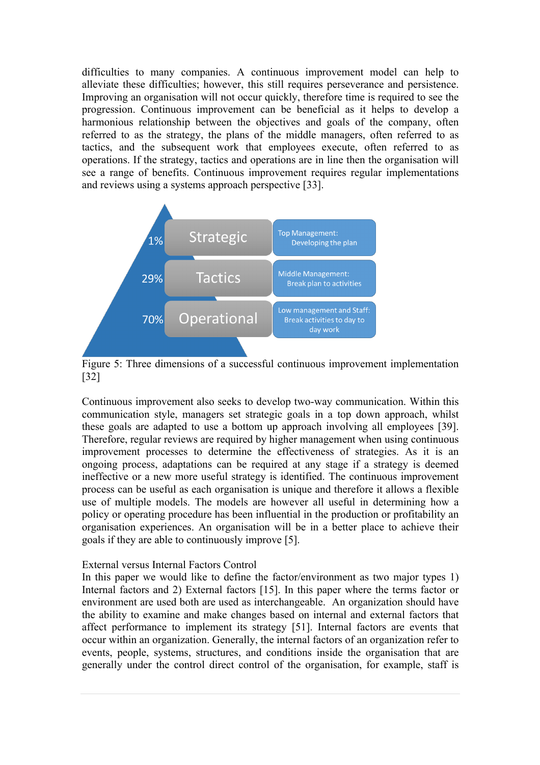difficulties to many companies. A continuous improvement model can help to alleviate these difficulties; however, this still requires perseverance and persistence. Improving an organisation will not occur quickly, therefore time is required to see the progression. Continuous improvement can be beneficial as it helps to develop a harmonious relationship between the objectives and goals of the company, often referred to as the strategy, the plans of the middle managers, often referred to as tactics, and the subsequent work that employees execute, often referred to as operations. If the strategy, tactics and operations are in line then the organisation will see a range of benefits. Continuous improvement requires regular implementations and reviews using a systems approach perspective [33].



Figure 5: Three dimensions of a successful continuous improvement implementation [32]

Continuous improvement also seeks to develop two-way communication. Within this communication style, managers set strategic goals in a top down approach, whilst these goals are adapted to use a bottom up approach involving all employees [39]. Therefore, regular reviews are required by higher management when using continuous improvement processes to determine the effectiveness of strategies. As it is an ongoing process, adaptations can be required at any stage if a strategy is deemed ineffective or a new more useful strategy is identified. The continuous improvement process can be useful as each organisation is unique and therefore it allows a flexible use of multiple models. The models are however all useful in determining how a policy or operating procedure has been influential in the production or profitability an organisation experiences. An organisation will be in a better place to achieve their goals if they are able to continuously improve [5].

#### External versus Internal Factors Control

In this paper we would like to define the factor/environment as two major types 1) Internal factors and 2) External factors [15]. In this paper where the terms factor or environment are used both are used as interchangeable. An organization should have the ability to examine and make changes based on internal and external factors that affect performance to implement its strategy [51]. Internal factors are events that occur within an organization. Generally, the internal factors of an organization refer to events, people, systems, structures, and conditions inside the organisation that are generally under the control direct control of the organisation, for example, staff is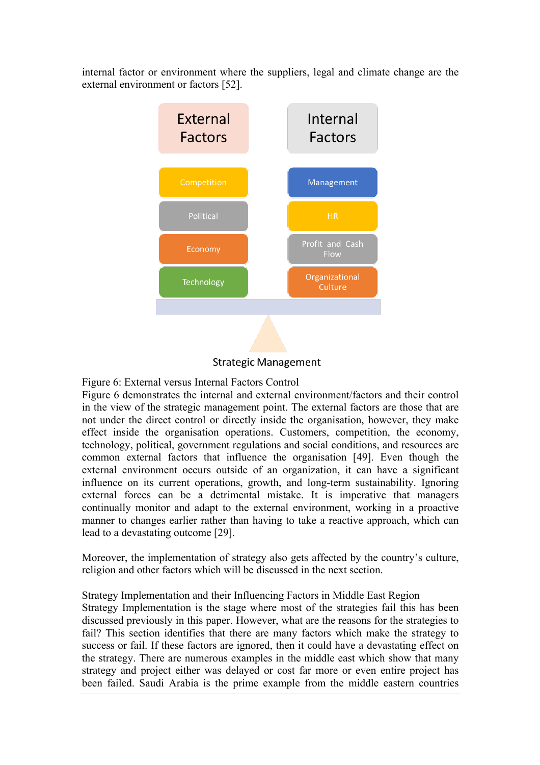internal factor or environment where the suppliers, legal and climate change are the external environment or factors [52].



**Strategic Management** 

Figure 6: External versus Internal Factors Control

Figure 6 demonstrates the internal and external environment/factors and their control in the view of the strategic management point. The external factors are those that are not under the direct control or directly inside the organisation, however, they make effect inside the organisation operations. Customers, competition, the economy, technology, political, government regulations and social conditions, and resources are common external factors that influence the organisation [49]. Even though the external environment occurs outside of an organization, it can have a significant influence on its current operations, growth, and long-term sustainability. Ignoring external forces can be a detrimental mistake. It is imperative that managers continually monitor and adapt to the external environment, working in a proactive manner to changes earlier rather than having to take a reactive approach, which can lead to a devastating outcome [29].

Moreover, the implementation of strategy also gets affected by the country's culture, religion and other factors which will be discussed in the next section.

Strategy Implementation and their Influencing Factors in Middle East Region Strategy Implementation is the stage where most of the strategies fail this has been discussed previously in this paper. However, what are the reasons for the strategies to fail? This section identifies that there are many factors which make the strategy to success or fail. If these factors are ignored, then it could have a devastating effect on the strategy. There are numerous examples in the middle east which show that many strategy and project either was delayed or cost far more or even entire project has been failed. Saudi Arabia is the prime example from the middle eastern countries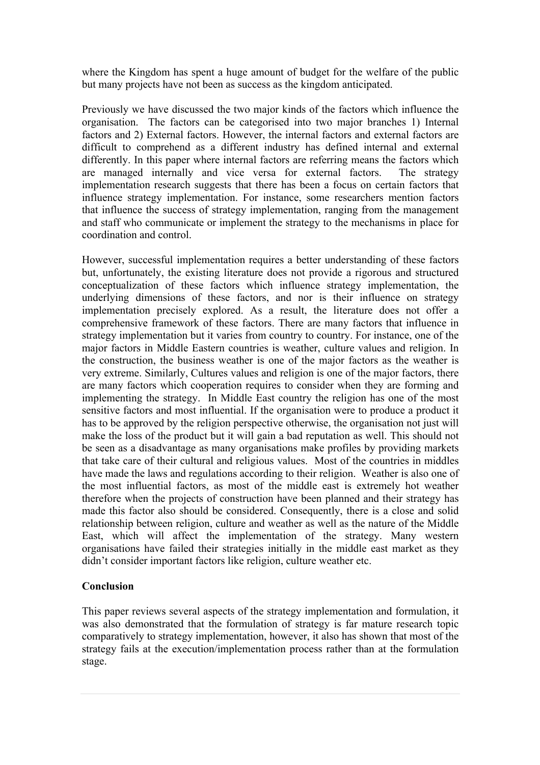where the Kingdom has spent a huge amount of budget for the welfare of the public but many projects have not been as success as the kingdom anticipated.

Previously we have discussed the two major kinds of the factors which influence the organisation. The factors can be categorised into two major branches 1) Internal factors and 2) External factors. However, the internal factors and external factors are difficult to comprehend as a different industry has defined internal and external differently. In this paper where internal factors are referring means the factors which are managed internally and vice versa for external factors. The strategy implementation research suggests that there has been a focus on certain factors that influence strategy implementation. For instance, some researchers mention factors that influence the success of strategy implementation, ranging from the management and staff who communicate or implement the strategy to the mechanisms in place for coordination and control.

However, successful implementation requires a better understanding of these factors but, unfortunately, the existing literature does not provide a rigorous and structured conceptualization of these factors which influence strategy implementation, the underlying dimensions of these factors, and nor is their influence on strategy implementation precisely explored. As a result, the literature does not offer a comprehensive framework of these factors. There are many factors that influence in strategy implementation but it varies from country to country. For instance, one of the major factors in Middle Eastern countries is weather, culture values and religion. In the construction, the business weather is one of the major factors as the weather is very extreme. Similarly, Cultures values and religion is one of the major factors, there are many factors which cooperation requires to consider when they are forming and implementing the strategy. In Middle East country the religion has one of the most sensitive factors and most influential. If the organisation were to produce a product it has to be approved by the religion perspective otherwise, the organisation not just will make the loss of the product but it will gain a bad reputation as well. This should not be seen as a disadvantage as many organisations make profiles by providing markets that take care of their cultural and religious values. Most of the countries in middles have made the laws and regulations according to their religion. Weather is also one of the most influential factors, as most of the middle east is extremely hot weather therefore when the projects of construction have been planned and their strategy has made this factor also should be considered. Consequently, there is a close and solid relationship between religion, culture and weather as well as the nature of the Middle East, which will affect the implementation of the strategy. Many western organisations have failed their strategies initially in the middle east market as they didn't consider important factors like religion, culture weather etc.

# **Conclusion**

This paper reviews several aspects of the strategy implementation and formulation, it was also demonstrated that the formulation of strategy is far mature research topic comparatively to strategy implementation, however, it also has shown that most of the strategy fails at the execution/implementation process rather than at the formulation stage.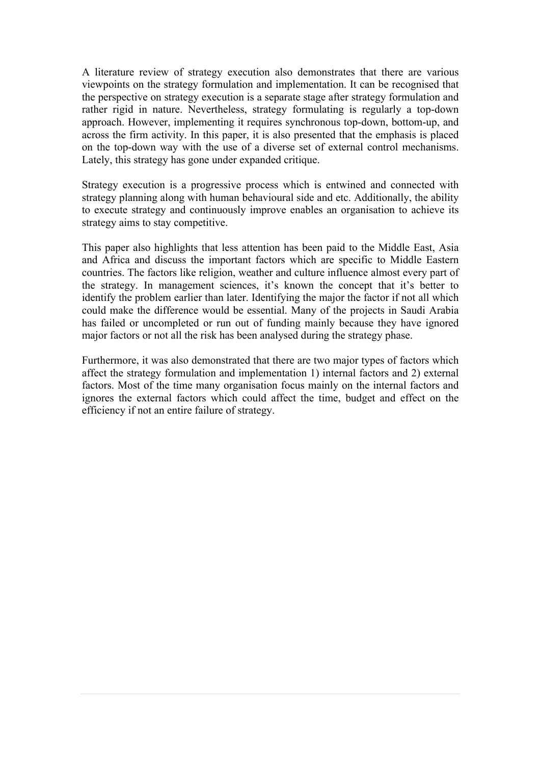A literature review of strategy execution also demonstrates that there are various viewpoints on the strategy formulation and implementation. It can be recognised that the perspective on strategy execution is a separate stage after strategy formulation and rather rigid in nature. Nevertheless, strategy formulating is regularly a top-down approach. However, implementing it requires synchronous top-down, bottom-up, and across the firm activity. In this paper, it is also presented that the emphasis is placed on the top-down way with the use of a diverse set of external control mechanisms. Lately, this strategy has gone under expanded critique.

Strategy execution is a progressive process which is entwined and connected with strategy planning along with human behavioural side and etc. Additionally, the ability to execute strategy and continuously improve enables an organisation to achieve its strategy aims to stay competitive.

This paper also highlights that less attention has been paid to the Middle East, Asia and Africa and discuss the important factors which are specific to Middle Eastern countries. The factors like religion, weather and culture influence almost every part of the strategy. In management sciences, it's known the concept that it's better to identify the problem earlier than later. Identifying the major the factor if not all which could make the difference would be essential. Many of the projects in Saudi Arabia has failed or uncompleted or run out of funding mainly because they have ignored major factors or not all the risk has been analysed during the strategy phase.

Furthermore, it was also demonstrated that there are two major types of factors which affect the strategy formulation and implementation 1) internal factors and 2) external factors. Most of the time many organisation focus mainly on the internal factors and ignores the external factors which could affect the time, budget and effect on the efficiency if not an entire failure of strategy.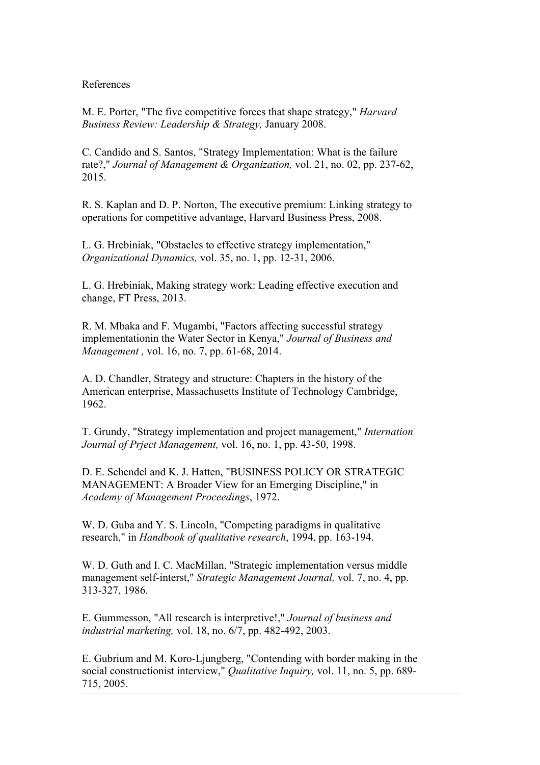References

M. E. Porter, "The five competitive forces that shape strategy," *Harvard Business Review: Leadership & Strategy,* January 2008.

C. Candido and S. Santos, "Strategy Implementation: What is the failure rate?," *Journal of Management & Organization,* vol. 21, no. 02, pp. 237-62, 2015.

R. S. Kaplan and D. P. Norton, The executive premium: Linking strategy to operations for competitive advantage, Harvard Business Press, 2008.

L. G. Hrebiniak, "Obstacles to effective strategy implementation," *Organizational Dynamics,* vol. 35, no. 1, pp. 12-31, 2006.

L. G. Hrebiniak, Making strategy work: Leading effective execution and change, FT Press, 2013.

R. M. Mbaka and F. Mugambi, "Factors affecting successful strategy implementationin the Water Sector in Kenya," *Journal of Business and Management ,* vol. 16, no. 7, pp. 61-68, 2014.

A. D. Chandler, Strategy and structure: Chapters in the history of the American enterprise, Massachusetts Institute of Technology Cambridge, 1962.

T. Grundy, "Strategy implementation and project management," *Internation Journal of Prject Management,* vol. 16, no. 1, pp. 43-50, 1998.

D. E. Schendel and K. J. Hatten, "BUSINESS POLICY OR STRATEGIC MANAGEMENT: A Broader View for an Emerging Discipline," in *Academy of Management Proceedings*, 1972.

W. D. Guba and Y. S. Lincoln, "Competing paradigms in qualitative research," in *Handbook of qualitative research*, 1994, pp. 163-194.

W. D. Guth and I. C. MacMillan, "Strategic implementation versus middle management self-interst," *Strategic Management Journal,* vol. 7, no. 4, pp. 313-327, 1986.

E. Gummesson, "All research is interpretive!," *Journal of business and industrial marketing,* vol. 18, no. 6/7, pp. 482-492, 2003.

E. Gubrium and M. Koro-Ljungberg, "Contending with border making in the social constructionist interview," *Qualitative Inquiry,* vol. 11, no. 5, pp. 689- 715, 2005.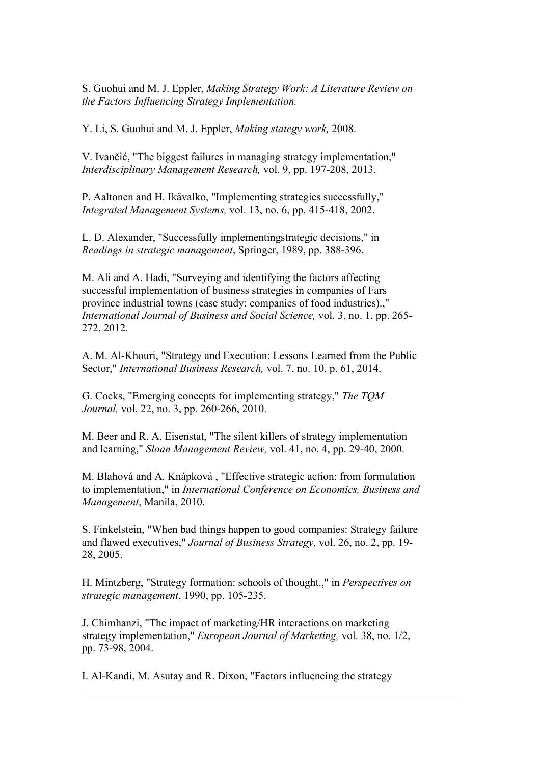S. Guohui and M. J. Eppler, *Making Strategy Work: A Literature Review on the Factors Influencing Strategy Implementation.*

Y. Li, S. Guohui and M. J. Eppler, *Making stategy work,* 2008.

V. Ivančić, "The biggest failures in managing strategy implementation," *Interdisciplinary Management Research,* vol. 9, pp. 197-208, 2013.

P. Aaltonen and H. Ikävalko, "Implementing strategies successfully," *Integrated Management Systems,* vol. 13, no. 6, pp. 415-418, 2002.

L. D. Alexander, "Successfully implementingstrategic decisions," in *Readings in strategic management*, Springer, 1989, pp. 388-396.

M. Ali and A. Hadi, "Surveying and identifying the factors affecting successful implementation of business strategies in companies of Fars province industrial towns (case study: companies of food industries).," *International Journal of Business and Social Science,* vol. 3, no. 1, pp. 265- 272, 2012.

A. M. Al-Khouri, "Strategy and Execution: Lessons Learned from the Public Sector," *International Business Research,* vol. 7, no. 10, p. 61, 2014.

G. Cocks, "Emerging concepts for implementing strategy," *The TQM Journal,* vol. 22, no. 3, pp. 260-266, 2010.

M. Beer and R. A. Eisenstat, "The silent killers of strategy implementation and learning," *Sloan Management Review,* vol. 41, no. 4, pp. 29-40, 2000.

M. Blahová and A. Knápková , "Effective strategic action: from formulation to implementation," in *International Conference on Economics, Business and Management*, Manila, 2010.

S. Finkelstein, "When bad things happen to good companies: Strategy failure and flawed executives," *Journal of Business Strategy,* vol. 26, no. 2, pp. 19- 28, 2005.

H. Mintzberg, "Strategy formation: schools of thought.," in *Perspectives on strategic management*, 1990, pp. 105-235.

J. Chimhanzi, "The impact of marketing/HR interactions on marketing strategy implementation," *European Journal of Marketing,* vol. 38, no. 1/2, pp. 73-98, 2004.

I. Al-Kandi, M. Asutay and R. Dixon, "Factors influencing the strategy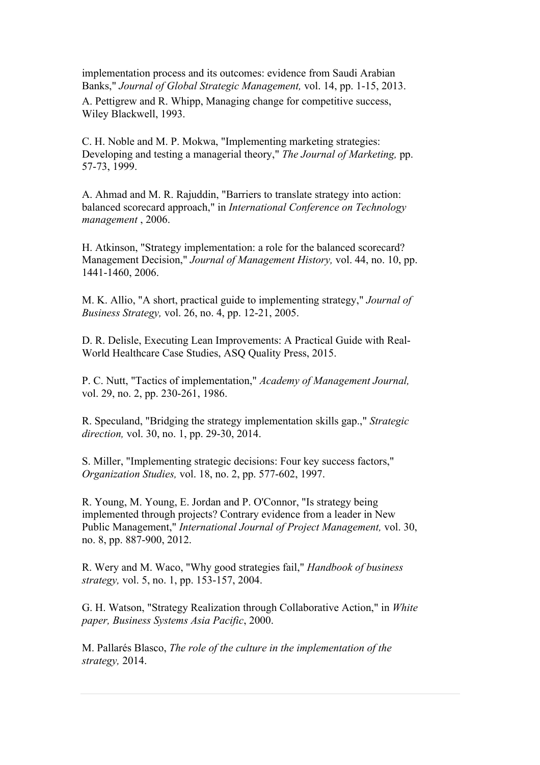implementation process and its outcomes: evidence from Saudi Arabian Banks," *Journal of Global Strategic Management,* vol. 14, pp. 1-15, 2013.

A. Pettigrew and R. Whipp, Managing change for competitive success, Wiley Blackwell, 1993.

C. H. Noble and M. P. Mokwa, "Implementing marketing strategies: Developing and testing a managerial theory," *The Journal of Marketing,* pp. 57-73, 1999.

A. Ahmad and M. R. Rajuddin, "Barriers to translate strategy into action: balanced scorecard approach," in *International Conference on Technology management* , 2006.

H. Atkinson, "Strategy implementation: a role for the balanced scorecard? Management Decision," *Journal of Management History,* vol. 44, no. 10, pp. 1441-1460, 2006.

M. K. Allio, "A short, practical guide to implementing strategy," *Journal of Business Strategy,* vol. 26, no. 4, pp. 12-21, 2005.

D. R. Delisle, Executing Lean Improvements: A Practical Guide with Real-World Healthcare Case Studies, ASQ Quality Press, 2015.

P. C. Nutt, "Tactics of implementation," *Academy of Management Journal,*  vol. 29, no. 2, pp. 230-261, 1986.

R. Speculand, "Bridging the strategy implementation skills gap.," *Strategic direction,* vol. 30, no. 1, pp. 29-30, 2014.

S. Miller, "Implementing strategic decisions: Four key success factors," *Organization Studies,* vol. 18, no. 2, pp. 577-602, 1997.

R. Young, M. Young, E. Jordan and P. O'Connor, "Is strategy being implemented through projects? Contrary evidence from a leader in New Public Management," *International Journal of Project Management,* vol. 30, no. 8, pp. 887-900, 2012.

R. Wery and M. Waco, "Why good strategies fail," *Handbook of business strategy,* vol. 5, no. 1, pp. 153-157, 2004.

G. H. Watson, "Strategy Realization through Collaborative Action," in *White paper, Business Systems Asia Pacific*, 2000.

M. Pallarés Blasco, *The role of the culture in the implementation of the strategy,* 2014.